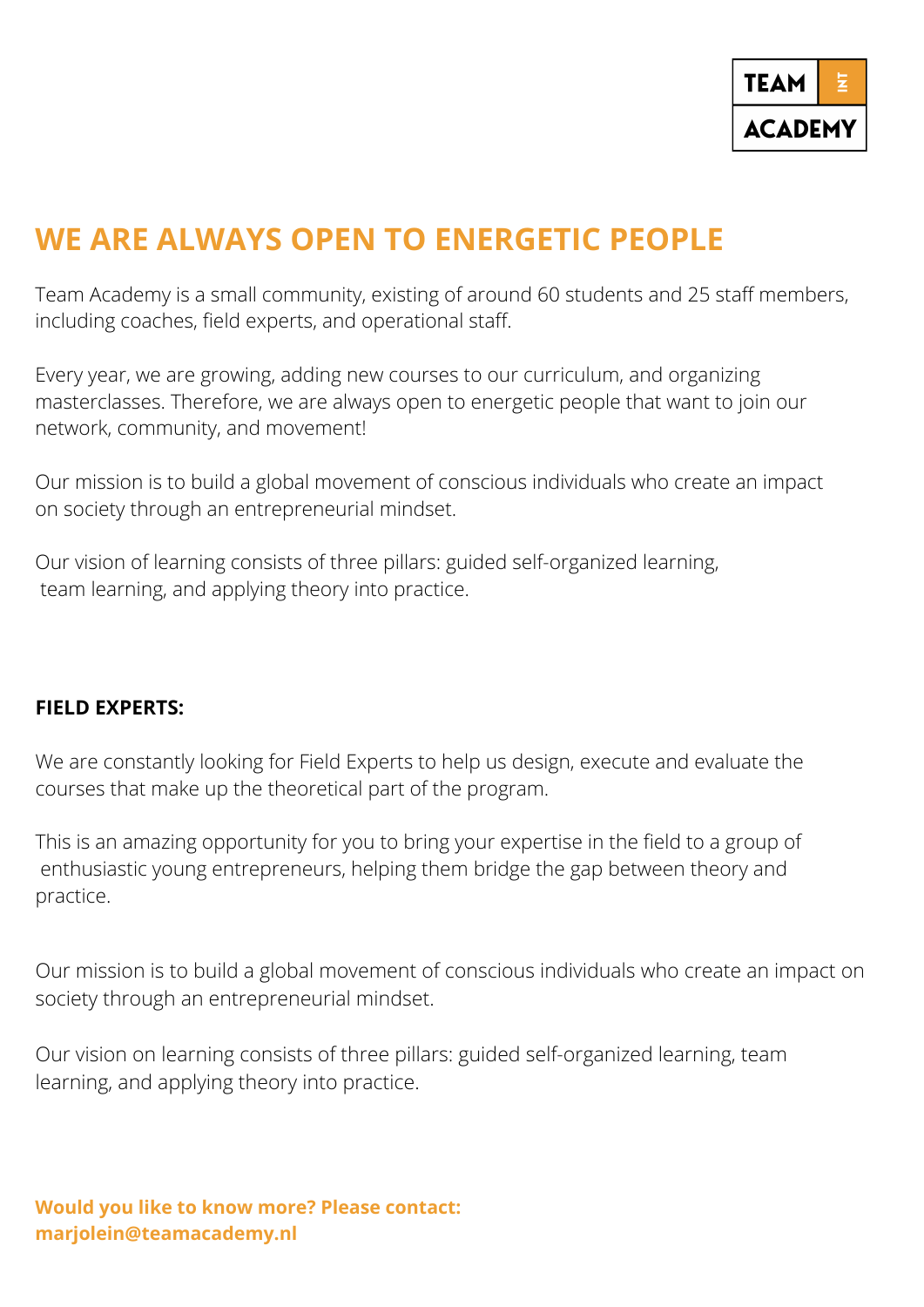

### **WE ARE ALWAYS OPEN TO ENERGETIC PEOPLE**

Team Academy is a small community, existing of around 60 students and 25 staff members, including coaches, field experts, and operational staff.

Every year, we are growing, adding new courses to our curriculum, and organizing masterclasses. Therefore, we are always open to energetic people that want to join our network, community, and movement!

Our mission is to build a global movement of conscious individuals who create an impact on society through an entrepreneurial mindset.

Our vision of learning consists of three pillars: guided self-organized learning, team learning, and applying theory into practice.

#### **FIELD EXPERTS:**

We are constantly looking for Field Experts to help us design, execute and evaluate the courses that make up the theoretical part of the program.

This is an amazing opportunity for you to bring your expertise in the field to a group of enthusiastic young entrepreneurs, helping them bridge the gap between theory and practice.

Our mission is to build a global movement of conscious individuals who create an impact on society through an entrepreneurial mindset.

Our vision on learning consists of three pillars: guided self-organized learning, team learning, and applying theory into practice.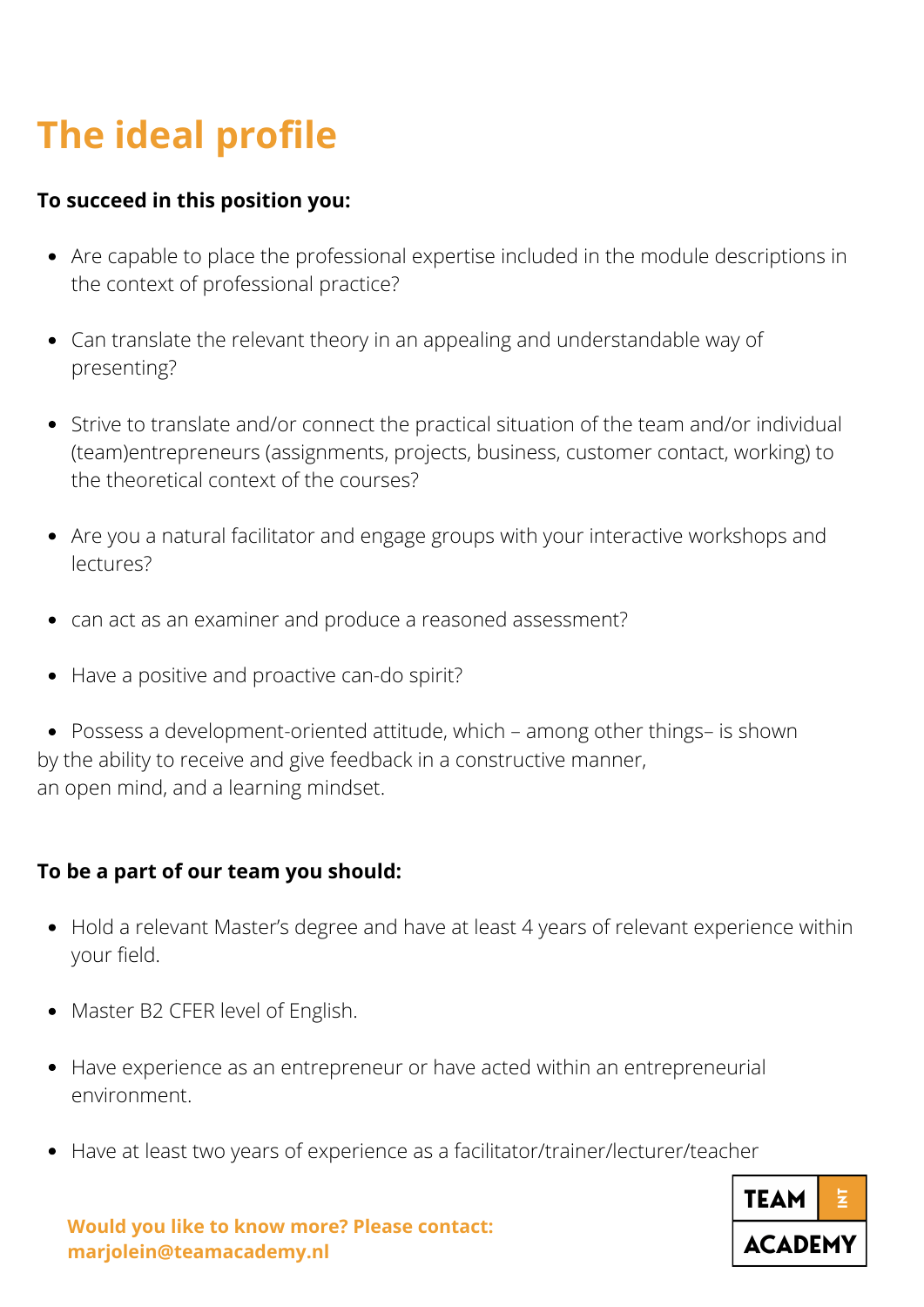# **The ideal profile**

#### **To succeed in this position you:**

- Are capable to place the professional expertise included in the module descriptions in the context of professional practice?
- Can translate the relevant theory in an appealing and understandable way of presenting?
- Strive to translate and/or connect the practical situation of the team and/or individual (team)entrepreneurs (assignments, projects, business, customer contact, working) to the theoretical context of the courses?
- Are you a natural facilitator and engage groups with your interactive workshops and lectures?
- can act as an examiner and produce a reasoned assessment?
- Have a positive and proactive can-do spirit?

Possess a development-oriented attitude, which – among other things– is shown by the ability to receive and give feedback in a constructive manner, an open mind, and a learning mindset.

#### **To be a part of our team you should:**

- Hold a relevant Master's degree and have at least 4 years of relevant experience within your field.
- Master B2 CFER level of English.
- Have experience as an entrepreneur or have acted within an entrepreneurial environment.
- Have at least two years of experience as a facilitator/trainer/lecturer/teacher



**Would you like to know more? Please contact: marjolein@teamacademy.nl**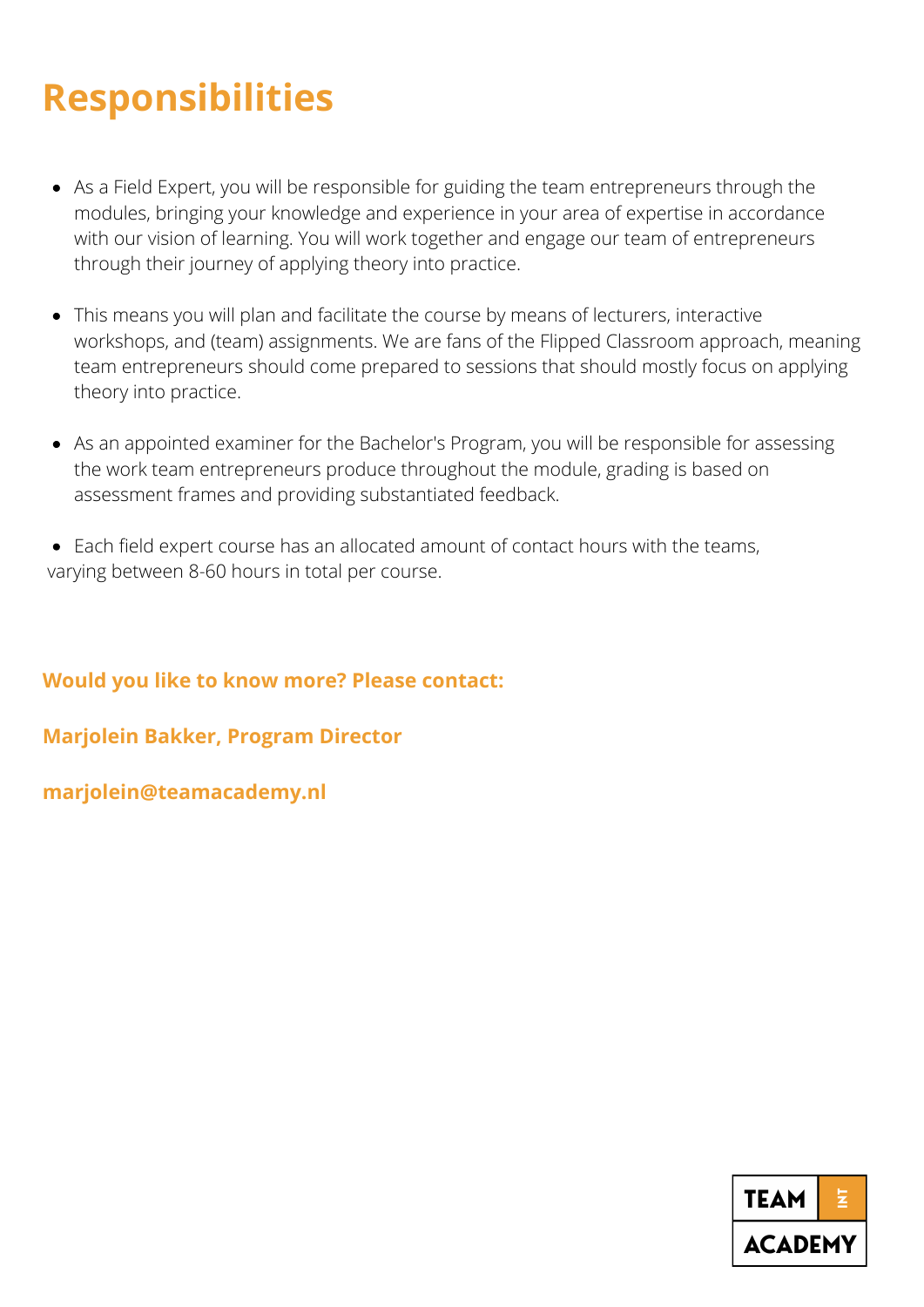# **Responsibilities**

- As a Field Expert, you will be responsible for guiding the team entrepreneurs through the modules, bringing your knowledge and experience in your area of expertise in accordance with our vision of learning. You will work together and engage our team of entrepreneurs through their journey of applying theory into practice.
- This means you will plan and facilitate the course by means of lecturers, interactive workshops, and (team) assignments. We are fans of the Flipped Classroom approach, meaning team entrepreneurs should come prepared to sessions that should mostly focus on applying theory into practice.
- As an appointed examiner for the Bachelor's Program, you will be responsible for assessing the work team entrepreneurs produce throughout the module, grading is based on assessment frames and providing substantiated feedback.
- Each field expert course has an allocated amount of contact hours with the teams, varying between 8-60 hours in total per course.

#### **Would you like to know more? Please contact:**

#### **Marjolein Bakker, Program Director**

#### **marjolein@teamacademy.nl**

| TEAM           |  |
|----------------|--|
| <b>ACADEMY</b> |  |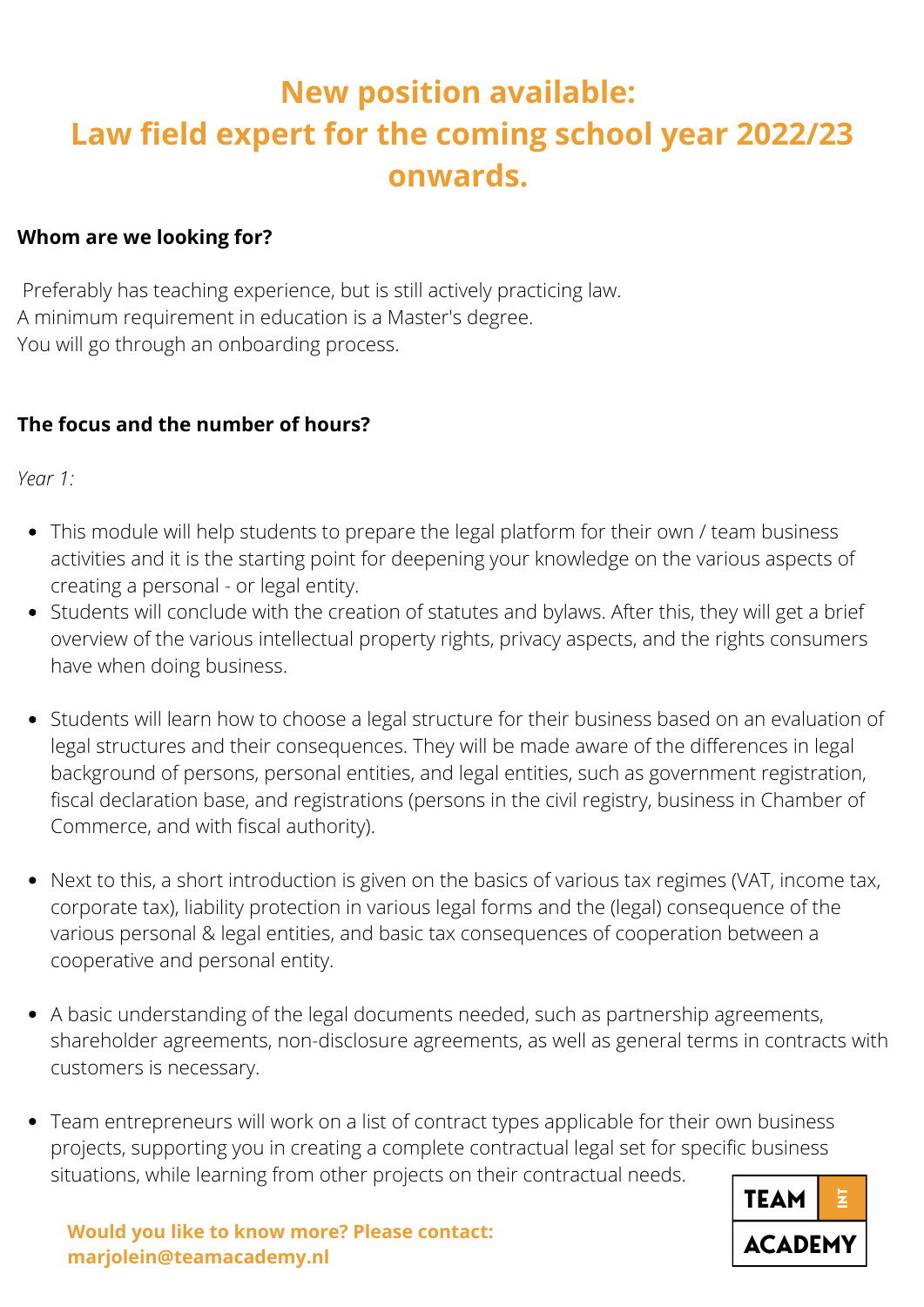## **New position available: Law field expert for the coming school year 2022/23 onwards.**

#### **Whom are we looking for?**

Preferably has teaching experience, but is still actively practicing law. A minimum requirement in education is a Master's degree. You will go through an onboarding process.

#### **The focus and the number of hours?**

*Year 1:*

- This module will help students to prepare the legal platform for their own / team business activities and it is the starting point for deepening your knowledge on the various aspects of creating a personal - or legal entity.
- Students will conclude with the creation of statutes and bylaws. After this, they will get a brief overview of the various intellectual property rights, privacy aspects, and the rights consumers have when doing business.
- Students will learn how to choose a legal structure for their business based on an evaluation of legal structures and their consequences. They will be made aware of the differences in legal background of persons, personal entities, and legal entities, such as government registration, fiscal declaration base, and registrations (persons in the civil registry, business in Chamber of Commerce, and with fiscal authority).
- Next to this, a short introduction is given on the basics of various tax regimes (VAT, income tax, corporate tax), liability protection in various legal forms and the (legal) consequence of the various personal & legal entities, and basic tax consequences of cooperation between a cooperative and personal entity.
- A basic understanding of the legal documents needed, such as partnership agreements, shareholder agreements, non-disclosure agreements, as well as general terms in contracts with customers is necessary.
- Team entrepreneurs will work on a list of contract types applicable for their own business projects, supporting you in creating a complete contractual legal set for specific business situations, while learning from other projects on their contractual needs.



#### **Would you like to know more? Please contact: marjolein@teamacademy.nl**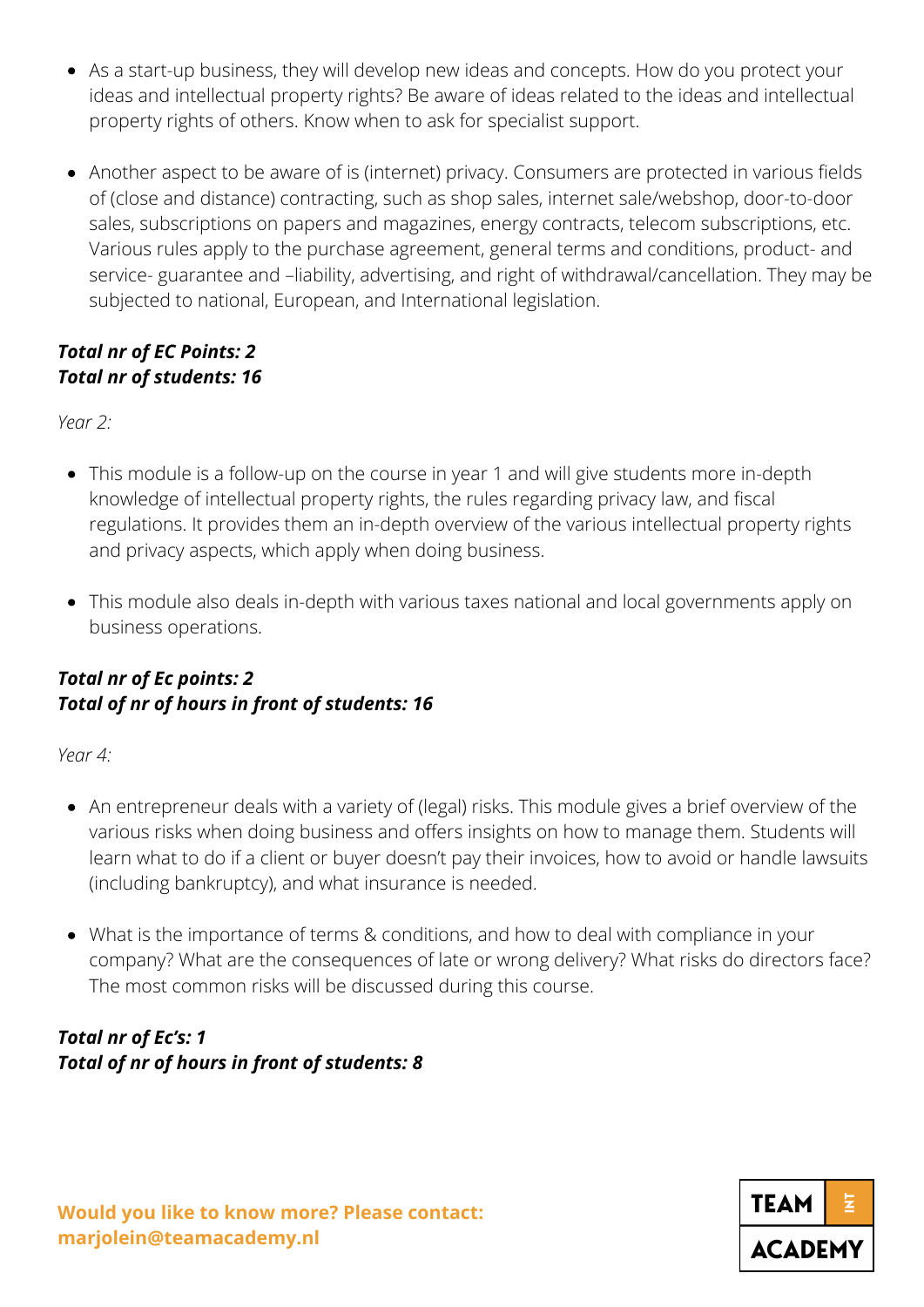- As a start-up business, they will develop new ideas and concepts. How do you protect your ideas and intellectual property rights? Be aware of ideas related to the ideas and intellectual property rights of others. Know when to ask for specialist support.
- Another aspect to be aware of is (internet) privacy. Consumers are protected in various fields of (close and distance) contracting, such as shop sales, internet sale/webshop, door-to-door sales, subscriptions on papers and magazines, energy contracts, telecom subscriptions, etc. Various rules apply to the purchase agreement, general terms and conditions, product- and service- guarantee and –liability, advertising, and right of withdrawal/cancellation. They may be subjected to national, European, and International legislation.

#### *Total nr of EC Points: 2 Total nr of students: 16*

*Year 2:*

- This module is a follow-up on the course in year 1 and will give students more in-depth knowledge of intellectual property rights, the rules regarding privacy law, and fiscal regulations. It provides them an in-depth overview of the various intellectual property rights and privacy aspects, which apply when doing business.
- This module also deals in-depth with various taxes national and local governments apply on business operations.

#### *Total nr of Ec points: 2 Total of nr of hours in front of students: 16*

*Year 4:*

- An entrepreneur deals with a variety of (legal) risks. This module gives a brief overview of the various risks when doing business and offers insights on how to manage them. Students will learn what to do if a client or buyer doesn't pay their invoices, how to avoid or handle lawsuits (including bankruptcy), and what insurance is needed.
- What is the importance of terms & conditions, and how to deal with compliance in your company? What are the consequences of late or wrong delivery? What risks do directors face? The most common risks will be discussed during this course.

### *Total nr of Ec's: 1 Total of nr of hours in front of students: 8*